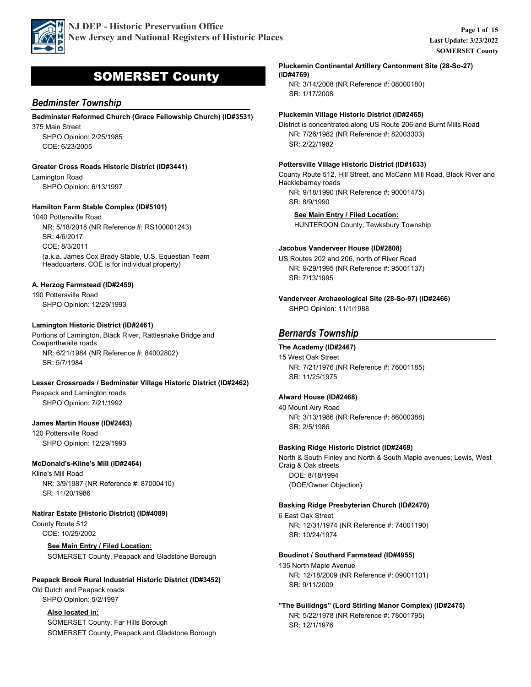

# SOMERSET County

## *Bedminster Township*

COE: 6/23/2005

375 Main Street SHPO Opinion: 2/25/1985 **Bedminster Reformed Church (Grace Fellowship Church) (ID#3531)**

**Greater Cross Roads Historic District (ID#3441)**

Lamington Road SHPO Opinion: 6/13/1997

#### **Hamilton Farm Stable Complex (ID#5101)**

1040 Pottersville Road COE: 8/3/2011 SR: 4/6/2017 NR: 5/18/2018 (NR Reference #: RS100001243) (a.k.a. James Cox Brady Stable, U.S. Equestian Team Headquarters, COE is for individual property)

#### **A. Herzog Farmstead (ID#2459)**

190 Pottersville Road SHPO Opinion: 12/29/1993

#### **Lamington Historic District (ID#2461)**

Portions of Lamington, Black River, Rattlesnake Bridge and Cowperthwaite roads SR: 5/7/1984 NR: 6/21/1984 (NR Reference #: 84002802)

#### **Lesser Crossroads / Bedminster Village Historic District (ID#2462)**

Peapack and Lamington roads SHPO Opinion: 7/21/1992

#### **James Martin House (ID#2463)**

120 Pottersville Road SHPO Opinion: 12/29/1993

#### **McDonald's-Kline's Mill (ID#2464)**

Kline's Mill Road SR: 11/20/1986 NR: 3/9/1987 (NR Reference #: 87000410)

#### **Natirar Estate [Historic District] (ID#4089)**

County Route 512 COE: 10/25/2002

> **See Main Entry / Filed Location:** SOMERSET County, Peapack and Gladstone Borough

#### **Peapack Brook Rural Industrial Historic District (ID#3452)**

Old Dutch and Peapack roads SHPO Opinion: 5/2/1997

#### **Also located in:**

SOMERSET County, Far Hills Borough SOMERSET County, Peapack and Gladstone Borough

**Pluckemin Continental Artillery Cantonment Site (28-So-27) (ID#4769)**

SR: 1/17/2008 NR: 3/14/2008 (NR Reference #: 08000180)

#### **Pluckemin Village Historic District (ID#2465)**

District is concentrated along US Route 206 and Burnt Mills Road SR: 2/22/1982 NR: 7/26/1982 (NR Reference #: 82003303)

#### **Pottersville Village Historic District (ID#1633)**

County Route 512, Hill Street, and McCann Mill Road, Black River and Hacklebarney roads SR: 8/9/1990 NR: 9/18/1990 (NR Reference #: 90001475)

**See Main Entry / Filed Location:** HUNTERDON County, Tewksbury Township

#### **Jacobus Vanderveer House (ID#2808)**

US Routes 202 and 206, north of River Road SR: 7/13/1995 NR: 9/29/1995 (NR Reference #: 95001137)

SHPO Opinion: 11/1/1988 **Vanderveer Archaeological Site (28-So-97) (ID#2466)**

# *Bernards Township*

#### **The Academy (ID#2467)**

15 West Oak Street SR: 11/25/1975 NR: 7/21/1976 (NR Reference #: 76001185)

#### **Alward House (ID#2468)**

40 Mount Airy Road SR: 2/5/1986 NR: 3/13/1986 (NR Reference #: 86000388)

#### **Basking Ridge Historic District (ID#2469)**

North & South Finley and North & South Maple avenues; Lewis, West Craig & Oak streets DOE: 8/18/1994 (DOE/Owner Objection)

#### **Basking Ridge Presbyterian Church (ID#2470)**

6 East Oak Street SR: 10/24/1974 NR: 12/31/1974 (NR Reference #: 74001190)

#### **Boudinot / Southard Farmstead (ID#4955)**

135 North Maple Avenue SR: 9/11/2009 NR: 12/18/2009 (NR Reference #: 09001101)

SR: 12/1/1976 NR: 5/22/1978 (NR Reference #: 78001795) **"The Builidngs" (Lord Stirling Manor Complex) (ID#2475)**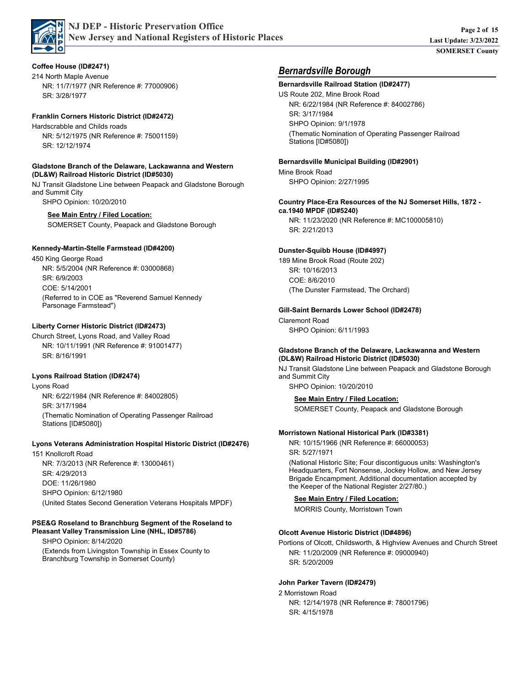

#### **Coffee House (ID#2471)**

214 North Maple Avenue SR: 3/28/1977 NR: 11/7/1977 (NR Reference #: 77000906)

#### **Franklin Corners Historic District (ID#2472)**

Hardscrabble and Childs roads SR: 12/12/1974 NR: 5/12/1975 (NR Reference #: 75001159)

#### **Gladstone Branch of the Delaware, Lackawanna and Western (DL&W) Railroad Historic District (ID#5030)**

NJ Transit Gladstone Line between Peapack and Gladstone Borough and Summit City

SHPO Opinion: 10/20/2010

#### **See Main Entry / Filed Location:**

SOMERSET County, Peapack and Gladstone Borough

#### **Kennedy-Martin-Stelle Farmstead (ID#4200)**

450 King George Road COE: 5/14/2001 SR: 6/9/2003 NR: 5/5/2004 (NR Reference #: 03000868) (Referred to in COE as "Reverend Samuel Kennedy Parsonage Farmstead")

#### **Liberty Corner Historic District (ID#2473)**

Church Street, Lyons Road, and Valley Road SR: 8/16/1991 NR: 10/11/1991 (NR Reference #: 91001477)

#### **Lyons Railroad Station (ID#2474)**

Lyons Road SR: 3/17/1984 NR: 6/22/1984 (NR Reference #: 84002805) (Thematic Nomination of Operating Passenger Railroad Stations [ID#5080])

#### **Lyons Veterans Administration Hospital Historic District (ID#2476)**

151 Knollcroft Road SHPO Opinion: 6/12/1980 DOE: 11/26/1980 SR: 4/29/2013 NR: 7/3/2013 (NR Reference #: 13000461) (United States Second Generation Veterans Hospitals MPDF)

#### **PSE&G Roseland to Branchburg Segment of the Roseland to Pleasant Valley Transmission Line (NHL, ID#5786)**

SHPO Opinion: 8/14/2020 (Extends from Livingston Township in Essex County to Branchburg Township in Somerset County)

# *Bernardsville Borough*

# **Bernardsville Railroad Station (ID#2477)**

US Route 202, Mine Brook Road SHPO Opinion: 9/1/1978 SR: 3/17/1984 NR: 6/22/1984 (NR Reference #: 84002786) (Thematic Nomination of Operating Passenger Railroad Stations [ID#5080])

#### **Bernardsville Municipal Building (ID#2901)**

Mine Brook Road SHPO Opinion: 2/27/1995

NR: 11/23/2020 (NR Reference #: MC100005810) **Country Place-Era Resources of the NJ Somerset Hills, 1872 ca.1940 MPDF (ID#5240)**

SR: 2/21/2013

#### **Dunster-Squibb House (ID#4997)**

189 Mine Brook Road (Route 202) COE: 8/6/2010 SR: 10/16/2013 (The Dunster Farmstead, The Orchard)

#### **Gill-Saint Bernards Lower School (ID#2478)**

Claremont Road SHPO Opinion: 6/11/1993

#### **Gladstone Branch of the Delaware, Lackawanna and Western (DL&W) Railroad Historic District (ID#5030)**

NJ Transit Gladstone Line between Peapack and Gladstone Borough and Summit City

SHPO Opinion: 10/20/2010

**See Main Entry / Filed Location:** SOMERSET County, Peapack and Gladstone Borough

#### **Morristown National Historical Park (ID#3381)**

SR: 5/27/1971 NR: 10/15/1966 (NR Reference #: 66000053)

(National Historic Site; Four discontiguous units: Washington's Headquarters, Fort Nonsense, Jockey Hollow, and New Jersey Brigade Encampment. Additional documentation accepted by the Keeper of the National Register 2/27/80.)

## **See Main Entry / Filed Location:**

MORRIS County, Morristown Town

#### **Olcott Avenue Historic District (ID#4896)**

Portions of Olcott, Childsworth, & Highview Avenues and Church Street SR: 5/20/2009 NR: 11/20/2009 (NR Reference #: 09000940)

#### **John Parker Tavern (ID#2479)**

2 Morristown Road SR: 4/15/1978 NR: 12/14/1978 (NR Reference #: 78001796)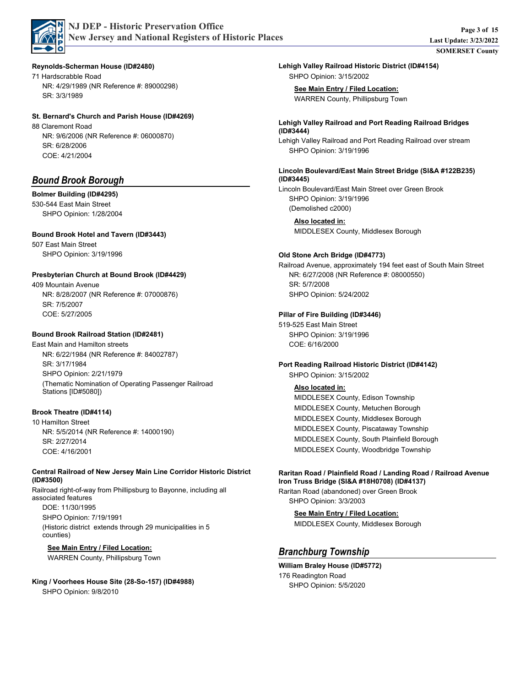

#### **Reynolds-Scherman House (ID#2480)**

71 Hardscrabble Road SR: 3/3/1989 NR: 4/29/1989 (NR Reference #: 89000298)

#### **St. Bernard's Church and Parish House (ID#4269)**

88 Claremont Road COE: 4/21/2004 SR: 6/28/2006 NR: 9/6/2006 (NR Reference #: 06000870)

# *Bound Brook Borough*

#### **Bolmer Building (ID#4295)**

530-544 East Main Street SHPO Opinion: 1/28/2004

#### **Bound Brook Hotel and Tavern (ID#3443)**

507 East Main Street SHPO Opinion: 3/19/1996

#### **Presbyterian Church at Bound Brook (ID#4429)**

409 Mountain Avenue COE: 5/27/2005 SR: 7/5/2007 NR: 8/28/2007 (NR Reference #: 07000876)

#### **Bound Brook Railroad Station (ID#2481)**

East Main and Hamilton streets SHPO Opinion: 2/21/1979 SR: 3/17/1984 NR: 6/22/1984 (NR Reference #: 84002787) (Thematic Nomination of Operating Passenger Railroad Stations [ID#5080])

#### **Brook Theatre (ID#4114)**

10 Hamilton Street COE: 4/16/2001 SR: 2/27/2014 NR: 5/5/2014 (NR Reference #: 14000190)

#### **Central Railroad of New Jersey Main Line Corridor Historic District (ID#3500)**

Railroad right-of-way from Phillipsburg to Bayonne, including all associated features SHPO Opinion: 7/19/1991 DOE: 11/30/1995 (Historic district extends through 29 municipalities in 5 counties)

#### **See Main Entry / Filed Location:**

WARREN County, Phillipsburg Town

SHPO Opinion: 9/8/2010 **King / Voorhees House Site (28-So-157) (ID#4988)**

SHPO Opinion: 3/15/2002 **Lehigh Valley Railroad Historic District (ID#4154)**

**See Main Entry / Filed Location:** WARREN County, Phillipsburg Town

#### **Lehigh Valley Railroad and Port Reading Railroad Bridges (ID#3444)**

Lehigh Valley Railroad and Port Reading Railroad over stream SHPO Opinion: 3/19/1996

#### **Lincoln Boulevard/East Main Street Bridge (SI&A #122B235) (ID#3445)**

Lincoln Boulevard/East Main Street over Green Brook SHPO Opinion: 3/19/1996 (Demolished c2000)

**Also located in:** MIDDLESEX County, Middlesex Borough

#### **Old Stone Arch Bridge (ID#4773)**

Railroad Avenue, approximately 194 feet east of South Main Street SHPO Opinion: 5/24/2002 SR: 5/7/2008 NR: 6/27/2008 (NR Reference #: 08000550)

## **Pillar of Fire Building (ID#3446)**

519-525 East Main Street SHPO Opinion: 3/19/1996 COE: 6/16/2000

#### SHPO Opinion: 3/15/2002 **Port Reading Railroad Historic District (ID#4142)**

#### **Also located in:**

MIDDLESEX County, Edison Township MIDDLESEX County, Metuchen Borough MIDDLESEX County, Middlesex Borough MIDDLESEX County, Piscataway Township MIDDLESEX County, South Plainfield Borough MIDDLESEX County, Woodbridge Township

#### **Raritan Road / Plainfield Road / Landing Road / Railroad Avenue Iron Truss Bridge (SI&A #18H0708) (ID#4137)**

Raritan Road (abandoned) over Green Brook SHPO Opinion: 3/3/2003

> **See Main Entry / Filed Location:** MIDDLESEX County, Middlesex Borough

# *Branchburg Township*

176 Readington Road SHPO Opinion: 5/5/2020 **William Braley House (ID#5772)**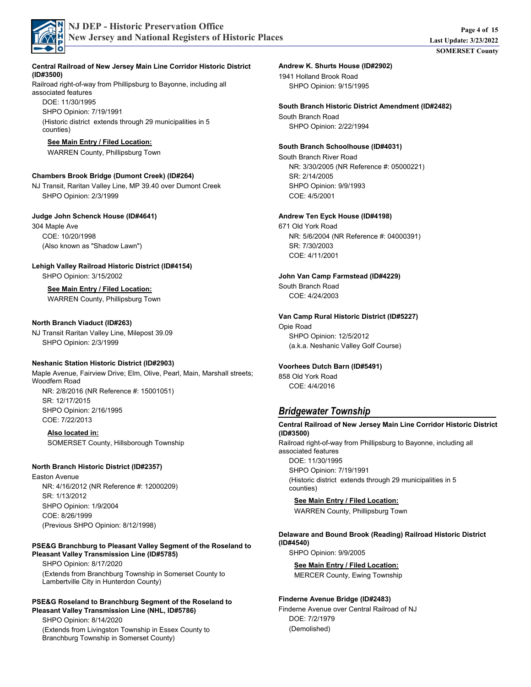

#### Railroad right-of-way from Phillipsburg to Bayonne, including all **Central Railroad of New Jersey Main Line Corridor Historic District (ID#3500)**

associated features SHPO Opinion: 7/19/1991 DOE: 11/30/1995 (Historic district extends through 29 municipalities in 5 counties)

#### **See Main Entry / Filed Location:**

WARREN County, Phillipsburg Town

#### **Chambers Brook Bridge (Dumont Creek) (ID#264)**

NJ Transit, Raritan Valley Line, MP 39.40 over Dumont Creek SHPO Opinion: 2/3/1999

#### **Judge John Schenck House (ID#4641)**

304 Maple Ave COE: 10/20/1998 (Also known as "Shadow Lawn")

### **Lehigh Valley Railroad Historic District (ID#4154)**

SHPO Opinion: 3/15/2002

#### **See Main Entry / Filed Location:** WARREN County, Phillipsburg Town

#### **North Branch Viaduct (ID#263)**

NJ Transit Raritan Valley Line, Milepost 39.09 SHPO Opinion: 2/3/1999

#### **Neshanic Station Historic District (ID#2903)**

Maple Avenue, Fairview Drive; Elm, Olive, Pearl, Main, Marshall streets; Woodfern Road SHPO Opinion: 2/16/1995 COE: 7/22/2013 SR: 12/17/2015 NR: 2/8/2016 (NR Reference #: 15001051)

**Also located in:** SOMERSET County, Hillsborough Township

#### **North Branch Historic District (ID#2357)**

Easton Avenue SHPO Opinion: 1/9/2004 COE: 8/26/1999 SR: 1/13/2012 NR: 4/16/2012 (NR Reference #: 12000209) (Previous SHPO Opinion: 8/12/1998)

#### **PSE&G Branchburg to Pleasant Valley Segment of the Roseland to Pleasant Valley Transmission Line (ID#5785)**

SHPO Opinion: 8/17/2020 (Extends from Branchburg Township in Somerset County to Lambertville City in Hunterdon County)

#### **PSE&G Roseland to Branchburg Segment of the Roseland to Pleasant Valley Transmission Line (NHL, ID#5786)**

SHPO Opinion: 8/14/2020 (Extends from Livingston Township in Essex County to Branchburg Township in Somerset County)

1941 Holland Brook Road SHPO Opinion: 9/15/1995 **Andrew K. Shurts House (ID#2902)**

South Branch Road SHPO Opinion: 2/22/1994 **South Branch Historic District Amendment (ID#2482)**

#### **South Branch Schoolhouse (ID#4031)**

South Branch River Road SHPO Opinion: 9/9/1993 COE: 4/5/2001 SR: 2/14/2005 NR: 3/30/2005 (NR Reference #: 05000221)

#### **Andrew Ten Eyck House (ID#4198)**

671 Old York Road COE: 4/11/2001 SR: 7/30/2003 NR: 5/6/2004 (NR Reference #: 04000391)

**John Van Camp Farmstead (ID#4229)**

South Branch Road COE: 4/24/2003

#### **Van Camp Rural Historic District (ID#5227)**

Opie Road SHPO Opinion: 12/5/2012 (a.k.a. Neshanic Valley Golf Course)

#### **Voorhees Dutch Barn (ID#5491)**

858 Old York Road COE: 4/4/2016

# *Bridgewater Township*

Railroad right-of-way from Phillipsburg to Bayonne, including all associated features SHPO Opinion: 7/19/1991 DOE: 11/30/1995 (Historic district extends through 29 municipalities in 5 counties) **Central Railroad of New Jersey Main Line Corridor Historic District (ID#3500)**

**See Main Entry / Filed Location:** WARREN County, Phillipsburg Town

SHPO Opinion: 9/9/2005 **Delaware and Bound Brook (Reading) Railroad Historic District (ID#4540)**

**See Main Entry / Filed Location:**

MERCER County, Ewing Township

Finderne Avenue over Central Railroad of NJ DOE: 7/2/1979 (Demolished) **Finderne Avenue Bridge (ID#2483)**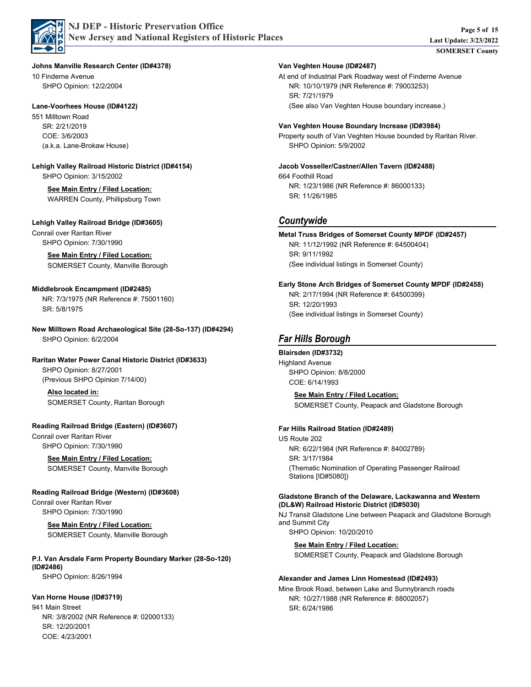

**Johns Manville Research Center (ID#4378)**

10 Finderne Avenue SHPO Opinion: 12/2/2004

#### **Lane-Voorhees House (ID#4122)**

551 Milltown Road COE: 3/6/2003 SR: 2/21/2019 (a.k.a. Lane-Brokaw House)

SHPO Opinion: 3/15/2002 **Lehigh Valley Railroad Historic District (ID#4154)**

#### **See Main Entry / Filed Location:** WARREN County, Phillipsburg Town

**Lehigh Valley Railroad Bridge (ID#3605)**

Conrail over Raritan River SHPO Opinion: 7/30/1990

#### **See Main Entry / Filed Location:**

SOMERSET County, Manville Borough

#### **Middlebrook Encampment (ID#2485)**

SR: 5/8/1975 NR: 7/3/1975 (NR Reference #: 75001160)

SHPO Opinion: 6/2/2004 **New Milltown Road Archaeological Site (28-So-137) (ID#4294)**

#### **Raritan Water Power Canal Historic District (ID#3633)**

SHPO Opinion: 8/27/2001 (Previous SHPO Opinion 7/14/00)

#### **Also located in:**

SOMERSET County, Raritan Borough

Conrail over Raritan River SHPO Opinion: 7/30/1990 **Reading Railroad Bridge (Eastern) (ID#3607)**

> **See Main Entry / Filed Location:** SOMERSET County, Manville Borough

### **Reading Railroad Bridge (Western) (ID#3608)**

Conrail over Raritan River SHPO Opinion: 7/30/1990

#### **See Main Entry / Filed Location:** SOMERSET County, Manville Borough

SHPO Opinion: 8/26/1994 **P.I. Van Arsdale Farm Property Boundary Marker (28-So-120) (ID#2486)**

#### **Van Horne House (ID#3719)**

941 Main Street COE: 4/23/2001 SR: 12/20/2001 NR: 3/8/2002 (NR Reference #: 02000133)

#### **Van Veghten House (ID#2487)**

At end of Industrial Park Roadway west of Finderne Avenue SR: 7/21/1979 NR: 10/10/1979 (NR Reference #: 79003253) (See also Van Veghten House boundary increase.)

#### **Van Veghten House Boundary Increase (ID#3984)**

Property south of Van Veghten House bounded by Raritan River. SHPO Opinion: 5/9/2002

#### **Jacob Vosseller/Castner/Allen Tavern (ID#2488)**

664 Foothill Road SR: 11/26/1985 NR: 1/23/1986 (NR Reference #: 86000133)

## *Countywide*

SR: 9/11/1992 NR: 11/12/1992 (NR Reference #: 64500404) **Metal Truss Bridges of Somerset County MPDF (ID#2457)**

(See individual listings in Somerset County)

#### **Early Stone Arch Bridges of Somerset County MPDF (ID#2458)**

SR: 12/20/1993 NR: 2/17/1994 (NR Reference #: 64500399) (See individual listings in Somerset County)

# *Far Hills Borough*

#### **Blairsden (ID#3732)**

Highland Avenue SHPO Opinion: 8/8/2000 COE: 6/14/1993

**See Main Entry / Filed Location:**

SOMERSET County, Peapack and Gladstone Borough

#### **Far Hills Railroad Station (ID#2489)**

US Route 202 SR: 3/17/1984 NR: 6/22/1984 (NR Reference #: 84002789) (Thematic Nomination of Operating Passenger Railroad Stations [ID#5080])

#### **Gladstone Branch of the Delaware, Lackawanna and Western (DL&W) Railroad Historic District (ID#5030)**

NJ Transit Gladstone Line between Peapack and Gladstone Borough and Summit City SHPO Opinion: 10/20/2010

**See Main Entry / Filed Location:**

SOMERSET County, Peapack and Gladstone Borough

#### **Alexander and James Linn Homestead (ID#2493)**

Mine Brook Road, between Lake and Sunnybranch roads SR: 6/24/1986 NR: 10/27/1988 (NR Reference #: 88002057)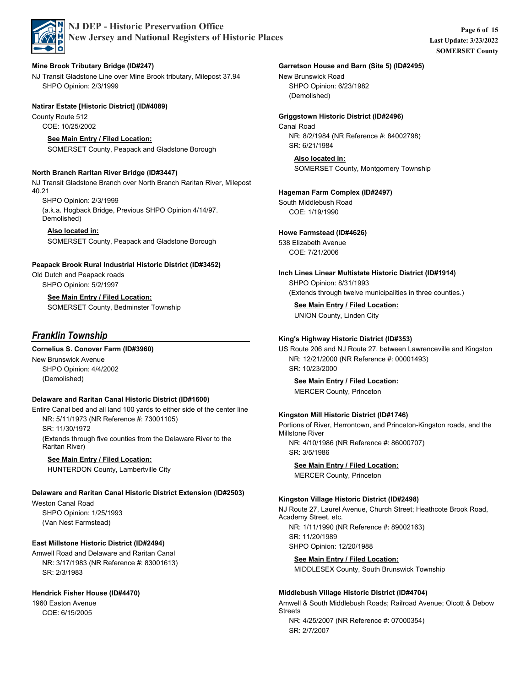

### **Mine Brook Tributary Bridge (ID#247)**

NJ Transit Gladstone Line over Mine Brook tributary, Milepost 37.94 SHPO Opinion: 2/3/1999

### **Natirar Estate [Historic District] (ID#4089)**

County Route 512 COE: 10/25/2002

## **See Main Entry / Filed Location:**

SOMERSET County, Peapack and Gladstone Borough

### **North Branch Raritan River Bridge (ID#3447)**

NJ Transit Gladstone Branch over North Branch Raritan River, Milepost 40.21

SHPO Opinion: 2/3/1999

(a.k.a. Hogback Bridge, Previous SHPO Opinion 4/14/97. Demolished)

### **Also located in:**

SOMERSET County, Peapack and Gladstone Borough

## **Peapack Brook Rural Industrial Historic District (ID#3452)**

Old Dutch and Peapack roads SHPO Opinion: 5/2/1997

## **See Main Entry / Filed Location:**

SOMERSET County, Bedminster Township

# *Franklin Township*

## **Cornelius S. Conover Farm (ID#3960)**

New Brunswick Avenue SHPO Opinion: 4/4/2002 (Demolished)

## **Delaware and Raritan Canal Historic District (ID#1600)**

Entire Canal bed and all land 100 yards to either side of the center line SR: 11/30/1972 NR: 5/11/1973 (NR Reference #: 73001105) (Extends through five counties from the Delaware River to the Raritan River)

### **See Main Entry / Filed Location:**

HUNTERDON County, Lambertville City

## **Delaware and Raritan Canal Historic District Extension (ID#2503)**

Weston Canal Road SHPO Opinion: 1/25/1993 (Van Nest Farmstead)

# **East Millstone Historic District (ID#2494)**

Amwell Road and Delaware and Raritan Canal SR: 2/3/1983 NR: 3/17/1983 (NR Reference #: 83001613)

# **Hendrick Fisher House (ID#4470)**

1960 Easton Avenue COE: 6/15/2005

### New Brunswick Road **Garretson House and Barn (Site 5) (ID#2495)**

SHPO Opinion: 6/23/1982 (Demolished)

# **Griggstown Historic District (ID#2496)**

Canal Road SR: 6/21/1984 NR: 8/2/1984 (NR Reference #: 84002798)

#### **Also located in:** SOMERSET County, Montgomery Township

South Middlebush Road COE: 1/19/1990 **Hageman Farm Complex (ID#2497)**

**Howe Farmstead (ID#4626)**

538 Elizabeth Avenue COE: 7/21/2006

SHPO Opinion: 8/31/1993 **Inch Lines Linear Multistate Historic District (ID#1914)**

(Extends through twelve municipalities in three counties.)

**See Main Entry / Filed Location:**

UNION County, Linden City

### **King's Highway Historic District (ID#353)**

US Route 206 and NJ Route 27, between Lawrenceville and Kingston SR: 10/23/2000 NR: 12/21/2000 (NR Reference #: 00001493)

**See Main Entry / Filed Location:**

MERCER County, Princeton

### **Kingston Mill Historic District (ID#1746)**

Portions of River, Herrontown, and Princeton-Kingston roads, and the Millstone River NR: 4/10/1986 (NR Reference #: 86000707)

**See Main Entry / Filed Location:**

MERCER County, Princeton

SR: 3/5/1986

#### **Kingston Village Historic District (ID#2498)**

NJ Route 27, Laurel Avenue, Church Street; Heathcote Brook Road, Academy Street, etc.

SHPO Opinion: 12/20/1988 SR: 11/20/1989 NR: 1/11/1990 (NR Reference #: 89002163)

**See Main Entry / Filed Location:**

MIDDLESEX County, South Brunswick Township

#### **Middlebush Village Historic District (ID#4704)**

Amwell & South Middlebush Roads; Railroad Avenue; Olcott & Debow Streets

SR: 2/7/2007 NR: 4/25/2007 (NR Reference #: 07000354)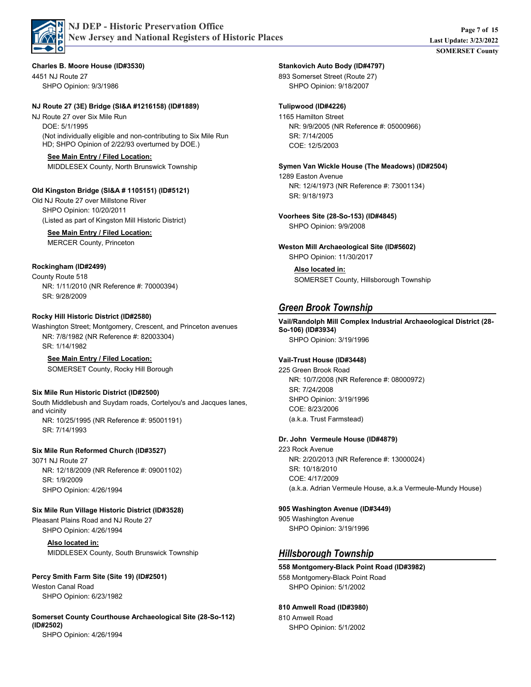

4451 NJ Route 27 **Charles B. Moore House (ID#3530)**

SHPO Opinion: 9/3/1986

#### **NJ Route 27 (3E) Bridge (SI&A #1216158) (ID#1889)**

NJ Route 27 over Six Mile Run DOE: 5/1/1995 (Not individually eligible and non-contributing to Six Mile Run HD; SHPO Opinion of 2/22/93 overturned by DOE.)

# **See Main Entry / Filed Location:**

MIDDLESEX County, North Brunswick Township

### **Old Kingston Bridge (SI&A # 1105151) (ID#5121)**

Old NJ Route 27 over Millstone River SHPO Opinion: 10/20/2011 (Listed as part of Kingston Mill Historic District)

#### **See Main Entry / Filed Location:**

MERCER County, Princeton

### **Rockingham (ID#2499)**

County Route 518 SR: 9/28/2009 NR: 1/11/2010 (NR Reference #: 70000394)

### **Rocky Hill Historic District (ID#2580)**

Washington Street; Montgomery, Crescent, and Princeton avenues SR: 1/14/1982 NR: 7/8/1982 (NR Reference #: 82003304)

#### **See Main Entry / Filed Location:**

SOMERSET County, Rocky Hill Borough

### **Six Mile Run Historic District (ID#2500)**

South Middlebush and Suydam roads, Cortelyou's and Jacques lanes, and vicinity SR: 7/14/1993 NR: 10/25/1995 (NR Reference #: 95001191)

#### **Six Mile Run Reformed Church (ID#3527)**

3071 NJ Route 27 SHPO Opinion: 4/26/1994 SR: 1/9/2009 NR: 12/18/2009 (NR Reference #: 09001102)

### **Six Mile Run Village Historic District (ID#3528)**

Pleasant Plains Road and NJ Route 27 SHPO Opinion: 4/26/1994

> **Also located in:** MIDDLESEX County, South Brunswick Township

### **Percy Smith Farm Site (Site 19) (ID#2501)**

Weston Canal Road SHPO Opinion: 6/23/1982

#### **Somerset County Courthouse Archaeological Site (28-So-112) (ID#2502)**

SHPO Opinion: 4/26/1994

### **Stankovich Auto Body (ID#4797)**

893 Somerset Street (Route 27) SHPO Opinion: 9/18/2007

### **Tulipwood (ID#4226)**

1165 Hamilton Street COE: 12/5/2003 SR: 7/14/2005 NR: 9/9/2005 (NR Reference #: 05000966)

#### 1289 Easton Avenue SR: 9/18/1973 NR: 12/4/1973 (NR Reference #: 73001134) **Symen Van Wickle House (The Meadows) (ID#2504)**

SHPO Opinion: 9/9/2008 **Voorhees Site (28-So-153) (ID#4845)**

SHPO Opinion: 11/30/2017 **Weston Mill Archaeological Site (ID#5602)**

> **Also located in:** SOMERSET County, Hillsborough Township

# *Green Brook Township*

SHPO Opinion: 3/19/1996 **Vail/Randolph Mill Complex Industrial Archaeological District (28- So-106) (ID#3934)**

### **Vail-Trust House (ID#3448)**

225 Green Brook Road SHPO Opinion: 3/19/1996 COE: 8/23/2006 SR: 7/24/2008 NR: 10/7/2008 (NR Reference #: 08000972) (a.k.a. Trust Farmstead)

### **Dr. John Vermeule House (ID#4879)**

223 Rock Avenue COE: 4/17/2009 SR: 10/18/2010 NR: 2/20/2013 (NR Reference #: 13000024) (a.k.a. Adrian Vermeule House, a.k.a Vermeule-Mundy House)

#### **905 Washington Avenue (ID#3449)**

905 Washington Avenue SHPO Opinion: 3/19/1996

# *Hillsborough Township*

#### 558 Montgomery-Black Point Road SHPO Opinion: 5/1/2002 **558 Montgomery-Black Point Road (ID#3982)**

### **810 Amwell Road (ID#3980)**

810 Amwell Road SHPO Opinion: 5/1/2002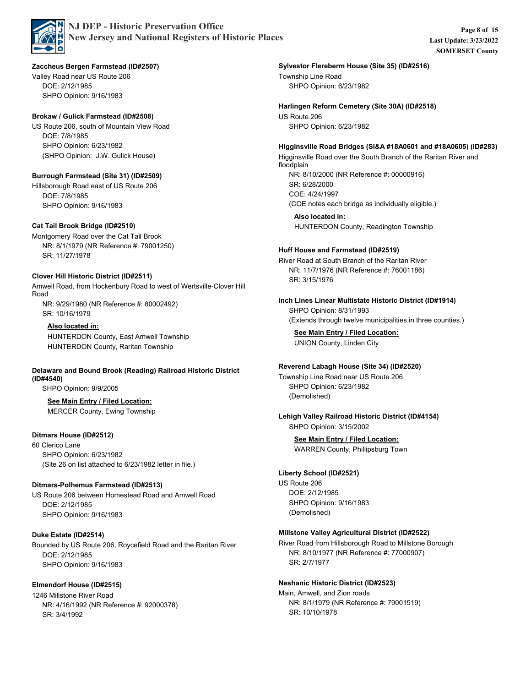

#### **Zaccheus Bergen Farmstead (ID#2507)**

Valley Road near US Route 206 SHPO Opinion: 9/16/1983 DOE: 2/12/1985

#### **Brokaw / Gulick Farmstead (ID#2508)**

US Route 206, south of Mountain View Road SHPO Opinion: 6/23/1982 DOE: 7/8/1985 (SHPO Opinion: J.W. Gulick House)

#### **Burrough Farmstead (Site 31) (ID#2509)**

Hillsborough Road east of US Route 206 SHPO Opinion: 9/16/1983 DOE: 7/8/1985

#### **Cat Tail Brook Bridge (ID#2510)**

Montgomery Road over the Cat Tail Brook SR: 11/27/1978 NR: 8/1/1979 (NR Reference #: 79001250)

#### **Clover Hill Historic District (ID#2511)**

Amwell Road, from Hockenbury Road to west of Wertsville-Clover Hill Road SR: 10/16/1979 NR: 9/29/1980 (NR Reference #: 80002492)

#### **Also located in:**

HUNTERDON County, East Amwell Township HUNTERDON County, Raritan Township

#### **Delaware and Bound Brook (Reading) Railroad Historic District (ID#4540)**

SHPO Opinion: 9/9/2005

# **See Main Entry / Filed Location:**

MERCER County, Ewing Township

#### **Ditmars House (ID#2512)**

60 Clerico Lane SHPO Opinion: 6/23/1982 (Site 26 on list attached to 6/23/1982 letter in file.)

#### **Ditmars-Polhemus Farmstead (ID#2513)**

US Route 206 between Homestead Road and Amwell Road SHPO Opinion: 9/16/1983 DOE: 2/12/1985

#### **Duke Estate (ID#2514)**

Bounded by US Route 206, Roycefield Road and the Raritan River SHPO Opinion: 9/16/1983 DOE: 2/12/1985

#### **Elmendorf House (ID#2515)**

1246 Millstone River Road SR: 3/4/1992 NR: 4/16/1992 (NR Reference #: 92000378) Township Line Road SHPO Opinion: 6/23/1982 **Sylvestor Flereberm House (Site 35) (ID#2516)**

US Route 206 SHPO Opinion: 6/23/1982 **Harlingen Reform Cemetery (Site 30A) (ID#2518)**

#### **Higginsville Road Bridges (SI&A #18A0601 and #18A0605) (ID#283)**

Higginsville Road over the South Branch of the Raritan River and floodplain SR: 6/28/2000 NR: 8/10/2000 (NR Reference #: 00000916)

COE: 4/24/1997 (COE notes each bridge as individually eligible.)

#### **Also located in:** HUNTERDON County, Readington Township

#### **Huff House and Farmstead (ID#2519)**

River Road at South Branch of the Raritan River SR: 3/15/1976 NR: 11/7/1976 (NR Reference #: 76001186)

SHPO Opinion: 8/31/1993 **Inch Lines Linear Multistate Historic District (ID#1914)**

(Extends through twelve municipalities in three counties.)

**See Main Entry / Filed Location:** UNION County, Linden City

### **Reverend Labagh House (Site 34) (ID#2520)**

Township Line Road near US Route 206 SHPO Opinion: 6/23/1982 (Demolished)

#### SHPO Opinion: 3/15/2002 **Lehigh Valley Railroad Historic District (ID#4154)**

**See Main Entry / Filed Location:** WARREN County, Phillipsburg Town

#### **Liberty School (ID#2521)**

US Route 206 SHPO Opinion: 9/16/1983 DOE: 2/12/1985 (Demolished)

#### **Millstone Valley Agricultural District (ID#2522)**

River Road from Hillsborough Road to Millstone Borough SR: 2/7/1977 NR: 8/10/1977 (NR Reference #: 77000907)

#### **Neshanic Historic District (ID#2523)**

Main, Amwell, and Zion roads SR: 10/10/1978 NR: 8/1/1979 (NR Reference #: 79001519)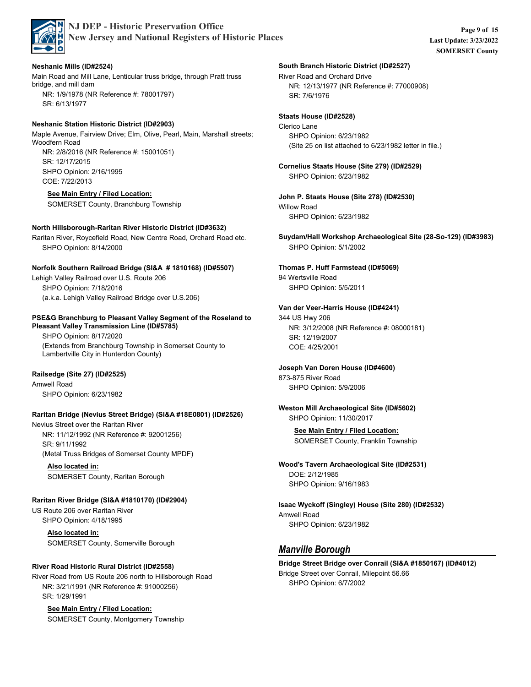

### **Neshanic Mills (ID#2524)**

Main Road and Mill Lane, Lenticular truss bridge, through Pratt truss bridge, and mill dam SR: 6/13/1977 NR: 1/9/1978 (NR Reference #: 78001797)

### **Neshanic Station Historic District (ID#2903)**

Maple Avenue, Fairview Drive; Elm, Olive, Pearl, Main, Marshall streets; Woodfern Road SHPO Opinion: 2/16/1995 COE: 7/22/2013 SR: 12/17/2015 NR: 2/8/2016 (NR Reference #: 15001051)

## **See Main Entry / Filed Location:**

SOMERSET County, Branchburg Township

### **North Hillsborough-Raritan River Historic District (ID#3632)**

Raritan River, Roycefield Road, New Centre Road, Orchard Road etc. SHPO Opinion: 8/14/2000

### **Norfolk Southern Railroad Bridge (SI&A # 1810168) (ID#5507)**

Lehigh Valley Railroad over U.S. Route 206 SHPO Opinion: 7/18/2016 (a.k.a. Lehigh Valley Railroad Bridge over U.S.206)

#### **PSE&G Branchburg to Pleasant Valley Segment of the Roseland to Pleasant Valley Transmission Line (ID#5785)**

SHPO Opinion: 8/17/2020 (Extends from Branchburg Township in Somerset County to Lambertville City in Hunterdon County)

## **Railsedge (Site 27) (ID#2525)**

Amwell Road SHPO Opinion: 6/23/1982

### **Raritan Bridge (Nevius Street Bridge) (SI&A #18E0801) (ID#2526)**

Nevius Street over the Raritan River SR: 9/11/1992 NR: 11/12/1992 (NR Reference #: 92001256) (Metal Truss Bridges of Somerset County MPDF)

**Also located in:** SOMERSET County, Raritan Borough

## **Raritan River Bridge (SI&A #1810170) (ID#2904)**

US Route 206 over Raritan River SHPO Opinion: 4/18/1995

> **Also located in:** SOMERSET County, Somerville Borough

## **River Road Historic Rural District (ID#2558)**

River Road from US Route 206 north to Hillsborough Road SR: 1/29/1991 NR: 3/21/1991 (NR Reference #: 91000256)

# **See Main Entry / Filed Location:**

SOMERSET County, Montgomery Township

### **South Branch Historic District (ID#2527)**

River Road and Orchard Drive SR: 7/6/1976 NR: 12/13/1977 (NR Reference #: 77000908)

### **Staats House (ID#2528)**

Clerico Lane SHPO Opinion: 6/23/1982 (Site 25 on list attached to 6/23/1982 letter in file.)

SHPO Opinion: 6/23/1982 **Cornelius Staats House (Site 279) (ID#2529)**

Willow Road **John P. Staats House (Site 278) (ID#2530)**

SHPO Opinion: 6/23/1982

SHPO Opinion: 5/1/2002 **Suydam/Hall Workshop Archaeological Site (28-So-129) (ID#3983)**

### **Thomas P. Huff Farmstead (ID#5069)**

94 Wertsville Road SHPO Opinion: 5/5/2011

### **Van der Veer-Harris House (ID#4241)**

344 US Hwy 206 COE: 4/25/2001 SR: 12/19/2007 NR: 3/12/2008 (NR Reference #: 08000181)

# **Joseph Van Doren House (ID#4600)**

873-875 River Road SHPO Opinion: 5/9/2006

### SHPO Opinion: 11/30/2017 **Weston Mill Archaeological Site (ID#5602)**

**See Main Entry / Filed Location:** SOMERSET County, Franklin Township

#### SHPO Opinion: 9/16/1983 DOE: 2/12/1985 **Wood's Tavern Archaeological Site (ID#2531)**

Amwell Road SHPO Opinion: 6/23/1982 **Isaac Wyckoff (Singley) House (Site 280) (ID#2532)**

# *Manville Borough*

#### Bridge Street over Conrail, Milepoint 56.66 SHPO Opinion: 6/7/2002 **Bridge Street Bridge over Conrail (SI&A #1850167) (ID#4012)**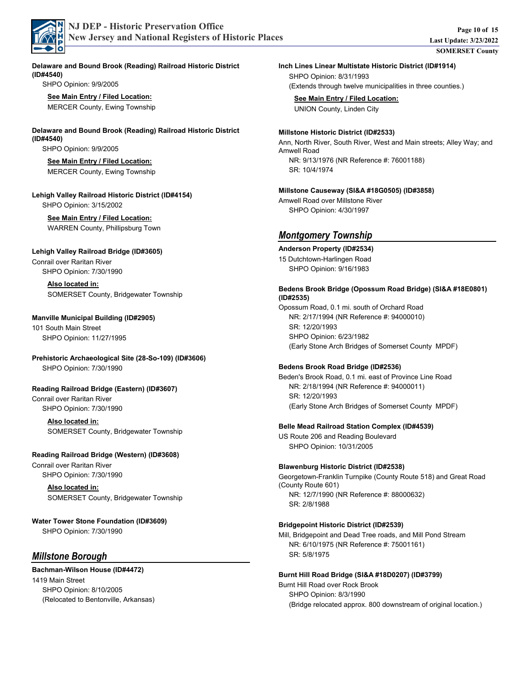

**Delaware and Bound Brook (Reading) Railroad Historic District (ID#4540)**

SHPO Opinion: 9/9/2005

**See Main Entry / Filed Location:** MERCER County, Ewing Township

#### **Delaware and Bound Brook (Reading) Railroad Historic District (ID#4540)**

SHPO Opinion: 9/9/2005

#### **See Main Entry / Filed Location:** MERCER County, Ewing Township

**Lehigh Valley Railroad Historic District (ID#4154)**

SHPO Opinion: 3/15/2002

#### **See Main Entry / Filed Location:** WARREN County, Phillipsburg Town

#### **Lehigh Valley Railroad Bridge (ID#3605)**

Conrail over Raritan River SHPO Opinion: 7/30/1990

> **Also located in:** SOMERSET County, Bridgewater Township

#### **Manville Municipal Building (ID#2905)**

101 South Main Street SHPO Opinion: 11/27/1995

# **Prehistoric Archaeological Site (28-So-109) (ID#3606)**

SHPO Opinion: 7/30/1990

#### **Reading Railroad Bridge (Eastern) (ID#3607)**

Conrail over Raritan River SHPO Opinion: 7/30/1990

> **Also located in:** SOMERSET County, Bridgewater Township

### **Reading Railroad Bridge (Western) (ID#3608)**

Conrail over Raritan River SHPO Opinion: 7/30/1990

> **Also located in:** SOMERSET County, Bridgewater Township

### SHPO Opinion: 7/30/1990 **Water Tower Stone Foundation (ID#3609)**

# *Millstone Borough*

## **Bachman-Wilson House (ID#4472)**

1419 Main Street SHPO Opinion: 8/10/2005 (Relocated to Bentonville, Arkansas)

#### **Inch Lines Linear Multistate Historic District (ID#1914)**

SHPO Opinion: 8/31/1993 (Extends through twelve municipalities in three counties.)

**See Main Entry / Filed Location:** UNION County, Linden City

#### **Millstone Historic District (ID#2533)**

Ann, North River, South River, West and Main streets; Alley Way; and Amwell Road SR: 10/4/1974 NR: 9/13/1976 (NR Reference #: 76001188)

#### **Millstone Causeway (SI&A #18G0505) (ID#3858)**

Amwell Road over Millstone River SHPO Opinion: 4/30/1997

# *Montgomery Township*

#### **Anderson Property (ID#2534)**

15 Dutchtown-Harlingen Road SHPO Opinion: 9/16/1983

#### **Bedens Brook Bridge (Opossum Road Bridge) (SI&A #18E0801) (ID#2535)**

Opossum Road, 0.1 mi. south of Orchard Road SHPO Opinion: 6/23/1982 SR: 12/20/1993 NR: 2/17/1994 (NR Reference #: 94000010) (Early Stone Arch Bridges of Somerset County MPDF)

#### **Bedens Brook Road Bridge (ID#2536)**

Beden's Brook Road, 0.1 mi. east of Province Line Road SR: 12/20/1993 NR: 2/18/1994 (NR Reference #: 94000011) (Early Stone Arch Bridges of Somerset County MPDF)

#### **Belle Mead Railroad Station Complex (ID#4539)**

US Route 206 and Reading Boulevard SHPO Opinion: 10/31/2005

#### **Blawenburg Historic District (ID#2538)**

Georgetown-Franklin Turnpike (County Route 518) and Great Road (County Route 601) SR: 2/8/1988 NR: 12/7/1990 (NR Reference #: 88000632)

#### **Bridgepoint Historic District (ID#2539)**

Mill, Bridgepoint and Dead Tree roads, and Mill Pond Stream SR: 5/8/1975 NR: 6/10/1975 (NR Reference #: 75001161)

#### **Burnt Hill Road Bridge (SI&A #18D0207) (ID#3799)**

Burnt Hill Road over Rock Brook SHPO Opinion: 8/3/1990 (Bridge relocated approx. 800 downstream of original location.)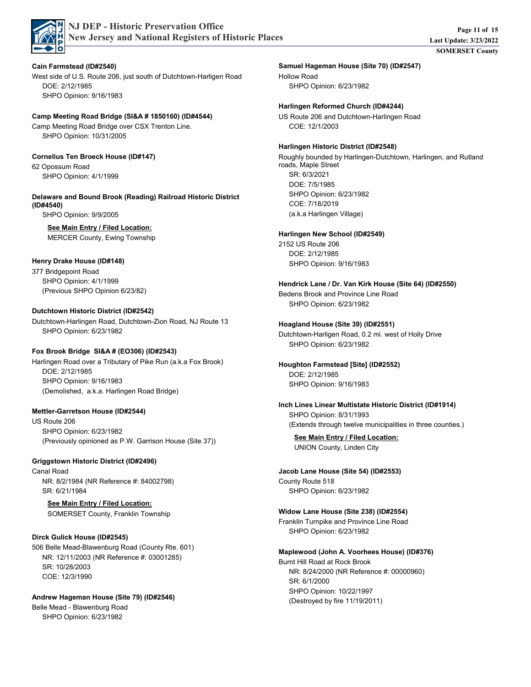

### **Cain Farmstead (ID#2540)**

West side of U.S. Route 206, just south of Dutchtown-Harligen Road SHPO Opinion: 9/16/1983 DOE: 2/12/1985

## **Camp Meeting Road Bridge (SI&A # 1850160) (ID#4544)**

Camp Meeting Road Bridge over CSX Trenton Line. SHPO Opinion: 10/31/2005

## **Cornelius Ten Broeck House (ID#147)**

62 Opossum Road SHPO Opinion: 4/1/1999

### **Delaware and Bound Brook (Reading) Railroad Historic District (ID#4540)**

SHPO Opinion: 9/9/2005

## **See Main Entry / Filed Location:**

MERCER County, Ewing Township

# **Henry Drake House (ID#148)**

377 Bridgepoint Road SHPO Opinion: 4/1/1999 (Previous SHPO Opinion 6/23/82)

#### **Dutchtown Historic District (ID#2542)**

Dutchtown-Harlingen Road, Dutchtown-Zion Road, NJ Route 13 SHPO Opinion: 6/23/1982

### **Fox Brook Bridge SI&A # (EO306) (ID#2543)**

Harlingen Road over a Tributary of Pike Run (a.k.a Fox Brook) SHPO Opinion: 9/16/1983 DOE: 2/12/1985 (Demolished, a.k.a. Harlingen Road Bridge)

### **Mettler-Garretson House (ID#2544)**

US Route 206 SHPO Opinion: 6/23/1982 (Previously opinioned as P.W. Garrison House (Site 37))

### **Griggstown Historic District (ID#2496)**

Canal Road SR: 6/21/1984 NR: 8/2/1984 (NR Reference #: 84002798)

## **See Main Entry / Filed Location:**

SOMERSET County, Franklin Township

### **Dirck Gulick House (ID#2545)**

506 Belle Mead-Blawenburg Road (County Rte. 601) COE: 12/3/1990 SR: 10/28/2003 NR: 12/11/2003 (NR Reference #: 03001285)

### **Andrew Hageman House (Site 79) (ID#2546)**

Belle Mead - Blawenburg Road SHPO Opinion: 6/23/1982

### Hollow Road **Samuel Hageman House (Site 70) (ID#2547)**

SHPO Opinion: 6/23/1982

### **Harlingen Reformed Church (ID#4244)**

US Route 206 and Dutchtown-Harlingen Road COE: 12/1/2003

#### **Harlingen Historic District (ID#2548)**

Roughly bounded by Harlingen-Dutchtown, Harlingen, and Rutland roads, Maple Street SHPO Opinion: 6/23/1982 DOE: 7/5/1985 COE: 7/18/2019 SR: 6/3/2021 (a.k.a Harlingen Village)

#### **Harlingen New School (ID#2549)**

2152 US Route 206 SHPO Opinion: 9/16/1983 DOE: 2/12/1985

#### **Hendrick Lane / Dr. Van Kirk House (Site 64) (ID#2550)**

Bedens Brook and Province Line Road SHPO Opinion: 6/23/1982

#### **Hoagland House (Site 39) (ID#2551)**

Dutchtown-Harligen Road, 0.2 mi. west of Holly Drive SHPO Opinion: 6/23/1982

# DOE: 2/12/1985 **Houghton Farmstead [Site] (ID#2552)**

SHPO Opinion: 9/16/1983

### SHPO Opinion: 8/31/1993 (Extends through twelve municipalities in three counties.) **Inch Lines Linear Multistate Historic District (ID#1914)**

**See Main Entry / Filed Location:** UNION County, Linden City

# County Route 518 **Jacob Lane House (Site 54) (ID#2553)**

SHPO Opinion: 6/23/1982

#### Franklin Turnpike and Province Line Road **Widow Lane House (Site 238) (ID#2554)**

SHPO Opinion: 6/23/1982

# **Maplewood (John A. Voorhees House) (ID#376)**

Burnt Hill Road at Rock Brook SHPO Opinion: 10/22/1997 SR: 6/1/2000 NR: 8/24/2000 (NR Reference #: 00000960) (Destroyed by fire 11/19/2011)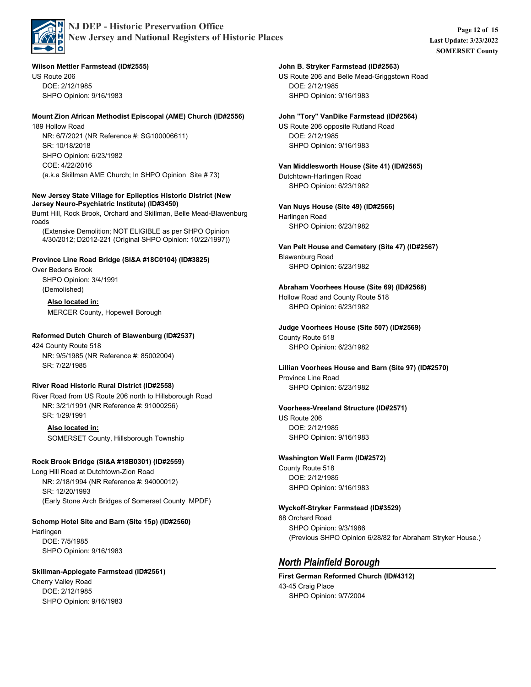

**Wilson Mettler Farmstead (ID#2555)**

US Route 206 SHPO Opinion: 9/16/1983 DOE: 2/12/1985

#### **Mount Zion African Methodist Episcopal (AME) Church (ID#2556)**

189 Hollow Road SHPO Opinion: 6/23/1982 COE: 4/22/2016 SR: 10/18/2018 NR: 6/7/2021 (NR Reference #: SG100006611) (a.k.a Skillman AME Church; In SHPO Opinion Site # 73)

#### **New Jersey State Village for Epileptics Historic District (New Jersey Neuro-Psychiatric Institute) (ID#3450)**

Burnt Hill, Rock Brook, Orchard and Skillman, Belle Mead-Blawenburg roads

(Extensive Demolition; NOT ELIGIBLE as per SHPO Opinion 4/30/2012; D2012-221 (Original SHPO Opinion: 10/22/1997))

#### **Province Line Road Bridge (SI&A #18C0104) (ID#3825)**

Over Bedens Brook SHPO Opinion: 3/4/1991 (Demolished)

> **Also located in:** MERCER County, Hopewell Borough

#### **Reformed Dutch Church of Blawenburg (ID#2537)**

424 County Route 518 SR: 7/22/1985 NR: 9/5/1985 (NR Reference #: 85002004)

#### **River Road Historic Rural District (ID#2558)**

River Road from US Route 206 north to Hillsborough Road SR: 1/29/1991 NR: 3/21/1991 (NR Reference #: 91000256)

**Also located in:** SOMERSET County, Hillsborough Township

#### **Rock Brook Bridge (SI&A #18B0301) (ID#2559)**

Long Hill Road at Dutchtown-Zion Road SR: 12/20/1993 NR: 2/18/1994 (NR Reference #: 94000012) (Early Stone Arch Bridges of Somerset County MPDF)

# **Schomp Hotel Site and Barn (Site 15p) (ID#2560)**

Harlingen SHPO Opinion: 9/16/1983 DOE: 7/5/1985

#### **Skillman-Applegate Farmstead (ID#2561)**

Cherry Valley Road SHPO Opinion: 9/16/1983 DOE: 2/12/1985

#### **John B. Stryker Farmstead (ID#2563)**

US Route 206 and Belle Mead-Griggstown Road SHPO Opinion: 9/16/1983 DOE: 2/12/1985

#### **John "Tory" VanDike Farmstead (ID#2564)**

US Route 206 opposite Rutland Road SHPO Opinion: 9/16/1983 DOE: 2/12/1985

Dutchtown-Harlingen Road SHPO Opinion: 6/23/1982 **Van Middlesworth House (Site 41) (ID#2565)**

Harlingen Road **Van Nuys House (Site 49) (ID#2566)**

SHPO Opinion: 6/23/1982

Blawenburg Road SHPO Opinion: 6/23/1982 **Van Pelt House and Cemetery (Site 47) (ID#2567)**

#### Hollow Road and County Route 518 **Abraham Voorhees House (Site 69) (ID#2568)**

SHPO Opinion: 6/23/1982

#### County Route 518 **Judge Voorhees House (Site 507) (ID#2569)**

SHPO Opinion: 6/23/1982

# Province Line Road **Lillian Voorhees House and Barn (Site 97) (ID#2570)**

SHPO Opinion: 6/23/1982

US Route 206 SHPO Opinion: 9/16/1983 DOE: 2/12/1985 **Voorhees-Vreeland Structure (ID#2571)**

## **Washington Well Farm (ID#2572)**

County Route 518 SHPO Opinion: 9/16/1983 DOE: 2/12/1985

#### **Wyckoff-Stryker Farmstead (ID#3529)**

88 Orchard Road SHPO Opinion: 9/3/1986 (Previous SHPO Opinion 6/28/82 for Abraham Stryker House.)

# *North Plainfield Borough*

43-45 Craig Place SHPO Opinion: 9/7/2004 **First German Reformed Church (ID#4312)**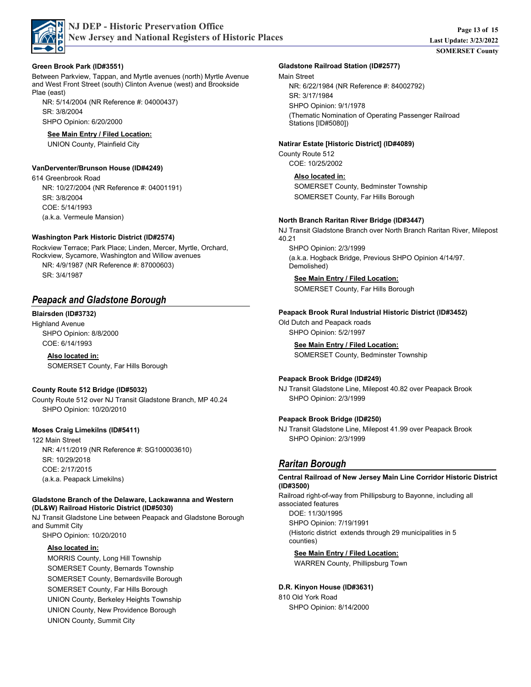

### **Green Brook Park (ID#3551)**

Between Parkview, Tappan, and Myrtle avenues (north) Myrtle Avenue and West Front Street (south) Clinton Avenue (west) and Brookside Plae (east)

SHPO Opinion: 6/20/2000 SR: 3/8/2004 NR: 5/14/2004 (NR Reference #: 04000437)

### **See Main Entry / Filed Location:**

UNION County, Plainfield City

### **VanDerventer/Brunson House (ID#4249)**

614 Greenbrook Road COE: 5/14/1993 SR: 3/8/2004 NR: 10/27/2004 (NR Reference #: 04001191) (a.k.a. Vermeule Mansion)

### **Washington Park Historic District (ID#2574)**

Rockview Terrace; Park Place; Linden, Mercer, Myrtle, Orchard, Rockview, Sycamore, Washington and Willow avenues SR: 3/4/1987 NR: 4/9/1987 (NR Reference #: 87000603)

# *Peapack and Gladstone Borough*

Highland Avenue SHPO Opinion: 8/8/2000 COE: 6/14/1993 **Blairsden (ID#3732)**

> **Also located in:** SOMERSET County, Far Hills Borough

## **County Route 512 Bridge (ID#5032)**

County Route 512 over NJ Transit Gladstone Branch, MP 40.24 SHPO Opinion: 10/20/2010

### **Moses Craig Limekilns (ID#5411)**

122 Main Street COE: 2/17/2015 SR: 10/29/2018 NR: 4/11/2019 (NR Reference #: SG100003610) (a.k.a. Peapack Limekilns)

#### **Gladstone Branch of the Delaware, Lackawanna and Western (DL&W) Railroad Historic District (ID#5030)**

NJ Transit Gladstone Line between Peapack and Gladstone Borough and Summit City SHPO Opinion: 10/20/2010

# **Also located in:**

MORRIS County, Long Hill Township SOMERSET County, Bernards Township SOMERSET County, Bernardsville Borough SOMERSET County, Far Hills Borough UNION County, Berkeley Heights Township UNION County, New Providence Borough UNION County, Summit City

### **Gladstone Railroad Station (ID#2577)**

### Main Street

SHPO Opinion: 9/1/1978 SR: 3/17/1984 NR: 6/22/1984 (NR Reference #: 84002792) (Thematic Nomination of Operating Passenger Railroad Stations [ID#5080])

### **Natirar Estate [Historic District] (ID#4089)**

County Route 512 COE: 10/25/2002

> **Also located in:** SOMERSET County, Bedminster Township SOMERSET County, Far Hills Borough

### **North Branch Raritan River Bridge (ID#3447)**

NJ Transit Gladstone Branch over North Branch Raritan River, Milepost 40.21

SHPO Opinion: 2/3/1999 (a.k.a. Hogback Bridge, Previous SHPO Opinion 4/14/97. Demolished)

**See Main Entry / Filed Location:**

SOMERSET County, Far Hills Borough

## **Peapack Brook Rural Industrial Historic District (ID#3452)**

Old Dutch and Peapack roads SHPO Opinion: 5/2/1997

**See Main Entry / Filed Location:**

SOMERSET County, Bedminster Township

## **Peapack Brook Bridge (ID#249)**

NJ Transit Gladstone Line, Milepost 40.82 over Peapack Brook SHPO Opinion: 2/3/1999

## **Peapack Brook Bridge (ID#250)**

NJ Transit Gladstone Line, Milepost 41.99 over Peapack Brook SHPO Opinion: 2/3/1999

# *Raritan Borough*

#### **Central Railroad of New Jersey Main Line Corridor Historic District (ID#3500)**

Railroad right-of-way from Phillipsburg to Bayonne, including all associated features

SHPO Opinion: 7/19/1991 DOE: 11/30/1995 (Historic district extends through 29 municipalities in 5 counties)

## **See Main Entry / Filed Location:**

WARREN County, Phillipsburg Town

## **D.R. Kinyon House (ID#3631)**

810 Old York Road SHPO Opinion: 8/14/2000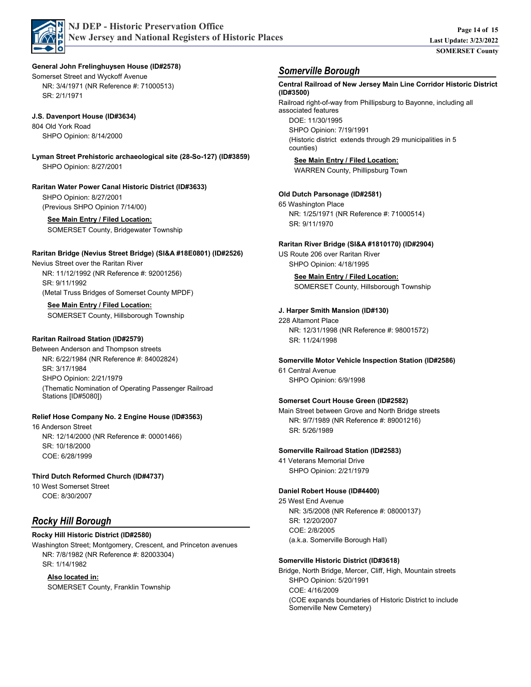

### **General John Frelinghuysen House (ID#2578)**

Somerset Street and Wyckoff Avenue SR: 2/1/1971 NR: 3/4/1971 (NR Reference #: 71000513)

## **J.S. Davenport House (ID#3634)**

804 Old York Road SHPO Opinion: 8/14/2000

SHPO Opinion: 8/27/2001 **Lyman Street Prehistoric archaeological site (28-So-127) (ID#3859)**

## **Raritan Water Power Canal Historic District (ID#3633)**

SHPO Opinion: 8/27/2001 (Previous SHPO Opinion 7/14/00)

# **See Main Entry / Filed Location:**

SOMERSET County, Bridgewater Township

## **Raritan Bridge (Nevius Street Bridge) (SI&A #18E0801) (ID#2526)**

Nevius Street over the Raritan River SR: 9/11/1992 NR: 11/12/1992 (NR Reference #: 92001256) (Metal Truss Bridges of Somerset County MPDF)

#### **See Main Entry / Filed Location:**

SOMERSET County, Hillsborough Township

### **Raritan Railroad Station (ID#2579)**

Between Anderson and Thompson streets SHPO Opinion: 2/21/1979 SR: 3/17/1984 NR: 6/22/1984 (NR Reference #: 84002824) (Thematic Nomination of Operating Passenger Railroad Stations [ID#5080])

### **Relief Hose Company No. 2 Engine House (ID#3563)**

16 Anderson Street COE: 6/28/1999 SR: 10/18/2000 NR: 12/14/2000 (NR Reference #: 00001466)

#### **Third Dutch Reformed Church (ID#4737)**

10 West Somerset Street COE: 8/30/2007

# *Rocky Hill Borough*

### **Rocky Hill Historic District (ID#2580)**

Washington Street; Montgomery, Crescent, and Princeton avenues SR: 1/14/1982 NR: 7/8/1982 (NR Reference #: 82003304)

### **Also located in:**

SOMERSET County, Franklin Township

# *Somerville Borough*

Railroad right-of-way from Phillipsburg to Bayonne, including all associated features SHPO Opinion: 7/19/1991 DOE: 11/30/1995 (Historic district extends through 29 municipalities in 5 counties) **Central Railroad of New Jersey Main Line Corridor Historic District (ID#3500) See Main Entry / Filed Location:** WARREN County, Phillipsburg Town 65 Washington Place SR: 9/11/1970 NR: 1/25/1971 (NR Reference #: 71000514) **Old Dutch Parsonage (ID#2581)** US Route 206 over Raritan River SHPO Opinion: 4/18/1995 **Raritan River Bridge (SI&A #1810170) (ID#2904) See Main Entry / Filed Location:** SOMERSET County, Hillsborough Township 228 Altamont Place SR: 11/24/1998 NR: 12/31/1998 (NR Reference #: 98001572) **J. Harper Smith Mansion (ID#130)** 61 Central Avenue SHPO Opinion: 6/9/1998 **Somerville Motor Vehicle Inspection Station (ID#2586)** Main Street between Grove and North Bridge streets SR: 5/26/1989 NR: 9/7/1989 (NR Reference #: 89001216) **Somerset Court House Green (ID#2582)** 41 Veterans Memorial Drive SHPO Opinion: 2/21/1979 **Somerville Railroad Station (ID#2583)** 25 West End Avenue COE: 2/8/2005 SR: 12/20/2007 NR: 3/5/2008 (NR Reference #: 08000137) (a.k.a. Somerville Borough Hall) **Daniel Robert House (ID#4400)** Bridge, North Bridge, Mercer, Cliff, High, Mountain streets SHPO Opinion: 5/20/1991 COE: 4/16/2009 (COE expands boundaries of Historic District to include Somerville New Cemetery) **Somerville Historic District (ID#3618)**